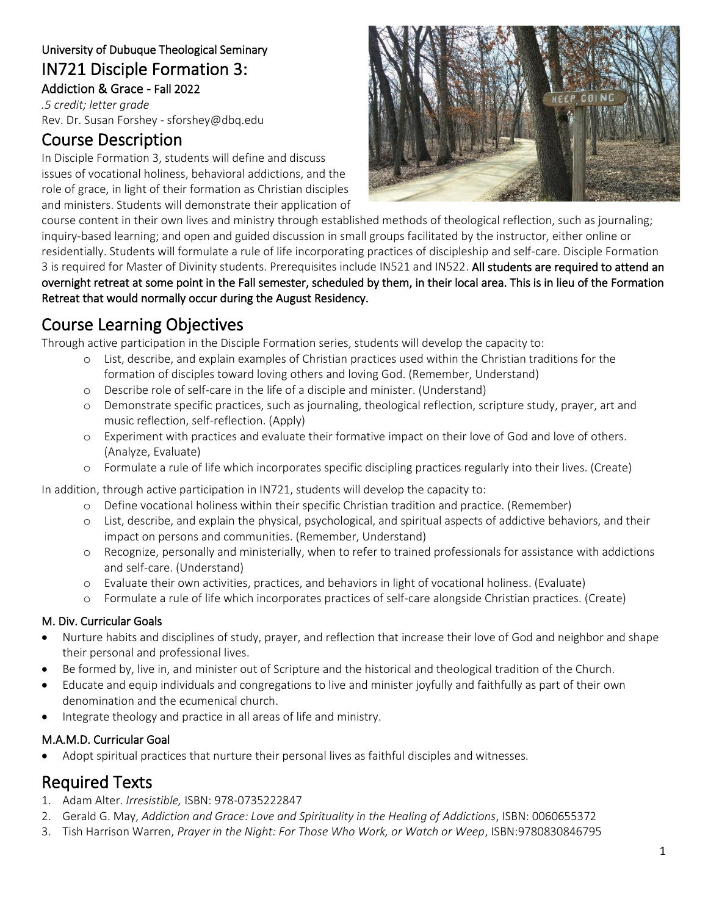### University of Dubuque Theological Seminary IN721 Disciple Formation 3: Addiction & Grace - Fall 2022

*.5 credit; letter grade* Rev. Dr. Susan Forshey - sforshey@dbq.edu

# Course Description

In Disciple Formation 3, students will define and discuss issues of vocational holiness, behavioral addictions, and the role of grace, in light of their formation as Christian disciples and ministers. Students will demonstrate their application of



course content in their own lives and ministry through established methods of theological reflection, such as journaling; inquiry-based learning; and open and guided discussion in small groups facilitated by the instructor, either online or residentially. Students will formulate a rule of life incorporating practices of discipleship and self-care. Disciple Formation 3 is required for Master of Divinity students. Prerequisites include IN521 and IN522. All students are required to attend an overnight retreat at some point in the Fall semester, scheduled by them, in their local area. This is in lieu of the Formation Retreat that would normally occur during the August Residency.

# Course Learning Objectives

Through active participation in the Disciple Formation series, students will develop the capacity to:

- o List, describe, and explain examples of Christian practices used within the Christian traditions for the formation of disciples toward loving others and loving God. (Remember, Understand)
- o Describe role of self-care in the life of a disciple and minister. (Understand)
- o Demonstrate specific practices, such as journaling, theological reflection, scripture study, prayer, art and music reflection, self-reflection. (Apply)
- o Experiment with practices and evaluate their formative impact on their love of God and love of others. (Analyze, Evaluate)
- o Formulate a rule of life which incorporates specific discipling practices regularly into their lives. (Create)

In addition, through active participation in IN721, students will develop the capacity to:

- o Define vocational holiness within their specific Christian tradition and practice. (Remember)
- o List, describe, and explain the physical, psychological, and spiritual aspects of addictive behaviors, and their impact on persons and communities. (Remember, Understand)
- o Recognize, personally and ministerially, when to refer to trained professionals for assistance with addictions and self-care. (Understand)
- o Evaluate their own activities, practices, and behaviors in light of vocational holiness. (Evaluate)
- o Formulate a rule of life which incorporates practices of self-care alongside Christian practices. (Create)

### M. Div. Curricular Goals

- Nurture habits and disciplines of study, prayer, and reflection that increase their love of God and neighbor and shape their personal and professional lives.
- Be formed by, live in, and minister out of Scripture and the historical and theological tradition of the Church.
- Educate and equip individuals and congregations to live and minister joyfully and faithfully as part of their own denomination and the ecumenical church.
- Integrate theology and practice in all areas of life and ministry.

### M.A.M.D. Curricular Goal

• Adopt spiritual practices that nurture their personal lives as faithful disciples and witnesses.

### Required Texts

- 1. Adam Alter. *Irresistible,* ISBN: 978-0735222847
- 2. Gerald G. May, *Addiction and Grace: Love and Spirituality in the Healing of Addictions*, ISBN: 0060655372
- 3. Tish Harrison Warren, *Prayer in the Night: For Those Who Work, or Watch or Weep*, ISBN:9780830846795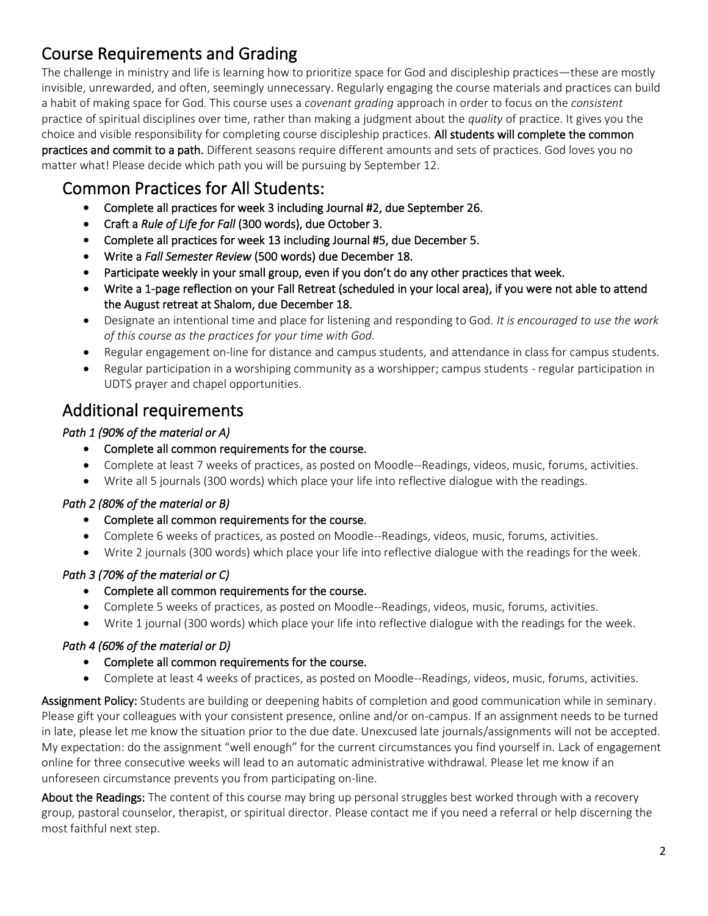# Course Requirements and Grading

The challenge in ministry and life is learning how to prioritize space for God and discipleship practices—these are mostly invisible, unrewarded, and often, seemingly unnecessary. Regularly engaging the course materials and practices can build a habit of making space for God. This course uses a *covenant grading* approach in order to focus on the *consistent*  practice of spiritual disciplines over time, rather than making a judgment about the *quality* of practice. It gives you the choice and visible responsibility for completing course discipleship practices. All students will complete the common practices and commit to a path. Different seasons require different amounts and sets of practices. God loves you no matter what! Please decide which path you will be pursuing by September 12.

### Common Practices for All Students:

- Complete all practices for week 3 including Journal #2, due September 26.
- Craft a *Rule of Life for Fall* (300 words), due October 3.
- Complete all practices for week 13 including Journal #5, due December 5.
- Write a *Fall Semester Review* (500 words) due December 18.
- Participate weekly in your small group, even if you don't do any other practices that week.
- Write a 1-page reflection on your Fall Retreat (scheduled in your local area), if you were not able to attend the August retreat at Shalom, due December 18.
- Designate an intentional time and place for listening and responding to God. *It is encouraged to use the work of this course as the practices for your time with God.*
- Regular engagement on-line for distance and campus students, and attendance in class for campus students.
- Regular participation in a worshiping community as a worshipper; campus students regular participation in UDTS prayer and chapel opportunities.

# Additional requirements

### *Path 1 (90% of the material or A)*

- Complete all common requirements for the course.
- Complete at least 7 weeks of practices, as posted on Moodle--Readings, videos, music, forums, activities.
- Write all 5 journals (300 words) which place your life into reflective dialogue with the readings.

#### *Path 2 (80% of the material or B)*

- Complete all common requirements for the course.
- Complete 6 weeks of practices, as posted on Moodle--Readings, videos, music, forums, activities.
- Write 2 journals (300 words) which place your life into reflective dialogue with the readings for the week.

### *Path 3 (70% of the material or C)*

- Complete all common requirements for the course.
- Complete 5 weeks of practices, as posted on Moodle--Readings, videos, music, forums, activities.
- Write 1 journal (300 words) which place your life into reflective dialogue with the readings for the week.

### *Path 4 (60% of the material or D)*

- Complete all common requirements for the course.
- Complete at least 4 weeks of practices, as posted on Moodle--Readings, videos, music, forums, activities.

Assignment Policy: Students are building or deepening habits of completion and good communication while in seminary. Please gift your colleagues with your consistent presence, online and/or on-campus. If an assignment needs to be turned in late, please let me know the situation prior to the due date. Unexcused late journals/assignments will not be accepted. My expectation: do the assignment "well enough" for the current circumstances you find yourself in. Lack of engagement online for three consecutive weeks will lead to an automatic administrative withdrawal. Please let me know if an unforeseen circumstance prevents you from participating on-line.

About the Readings: The content of this course may bring up personal struggles best worked through with a recovery group, pastoral counselor, therapist, or spiritual director. Please contact me if you need a referral or help discerning the most faithful next step.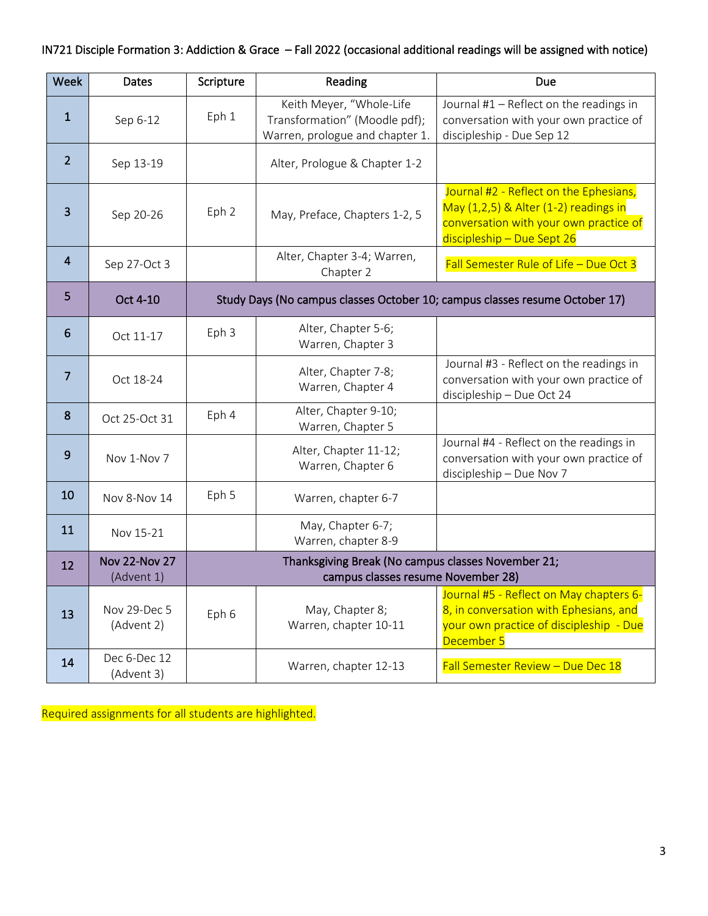### IN721 Disciple Formation 3: Addiction & Grace – Fall 2022 (occasional additional readings will be assigned with notice)

| Week           | Dates                              | Scripture                                                                                | Reading                                                                                      | Due                                                                                                                                                     |
|----------------|------------------------------------|------------------------------------------------------------------------------------------|----------------------------------------------------------------------------------------------|---------------------------------------------------------------------------------------------------------------------------------------------------------|
| $\mathbf{1}$   | Sep 6-12                           | Eph 1                                                                                    | Keith Meyer, "Whole-Life<br>Transformation" (Moodle pdf);<br>Warren, prologue and chapter 1. | Journal #1 - Reflect on the readings in<br>conversation with your own practice of<br>discipleship - Due Sep 12                                          |
| $\overline{2}$ | Sep 13-19                          |                                                                                          | Alter, Prologue & Chapter 1-2                                                                |                                                                                                                                                         |
| 3              | Sep 20-26                          | Eph 2                                                                                    | May, Preface, Chapters 1-2, 5                                                                | Journal #2 - Reflect on the Ephesians,<br>May (1,2,5) & Alter (1-2) readings in<br>conversation with your own practice of<br>discipleship - Due Sept 26 |
| 4              | Sep 27-Oct 3                       |                                                                                          | Alter, Chapter 3-4; Warren,<br>Chapter 2                                                     | Fall Semester Rule of Life - Due Oct 3                                                                                                                  |
| 5              | Oct 4-10                           | Study Days (No campus classes October 10; campus classes resume October 17)              |                                                                                              |                                                                                                                                                         |
| 6              | Oct 11-17                          | Eph 3                                                                                    | Alter, Chapter 5-6;<br>Warren, Chapter 3                                                     |                                                                                                                                                         |
| 7              | Oct 18-24                          |                                                                                          | Alter, Chapter 7-8;<br>Warren, Chapter 4                                                     | Journal #3 - Reflect on the readings in<br>conversation with your own practice of<br>discipleship - Due Oct 24                                          |
| 8              | Oct 25-Oct 31                      | Eph 4                                                                                    | Alter, Chapter 9-10;<br>Warren, Chapter 5                                                    |                                                                                                                                                         |
| 9              | Nov 1-Nov 7                        |                                                                                          | Alter, Chapter 11-12;<br>Warren, Chapter 6                                                   | Journal #4 - Reflect on the readings in<br>conversation with your own practice of<br>discipleship - Due Nov 7                                           |
| 10             | Nov 8-Nov 14                       | Eph 5                                                                                    | Warren, chapter 6-7                                                                          |                                                                                                                                                         |
| 11             | Nov 15-21                          |                                                                                          | May, Chapter 6-7;<br>Warren, chapter 8-9                                                     |                                                                                                                                                         |
| 12             | <b>Nov 22-Nov 27</b><br>(Advent 1) | Thanksgiving Break (No campus classes November 21;<br>campus classes resume November 28) |                                                                                              |                                                                                                                                                         |
| 13             | Nov 29-Dec 5<br>(Advent 2)         | Eph 6                                                                                    | May, Chapter 8;<br>Warren, chapter 10-11                                                     | Journal #5 - Reflect on May chapters 6-<br>8, in conversation with Ephesians, and<br>your own practice of discipleship - Due<br>December 5              |
| 14             | Dec 6-Dec 12<br>(Advent 3)         |                                                                                          | Warren, chapter 12-13                                                                        | Fall Semester Review - Due Dec 18                                                                                                                       |

Required assignments for all students are highlighted.